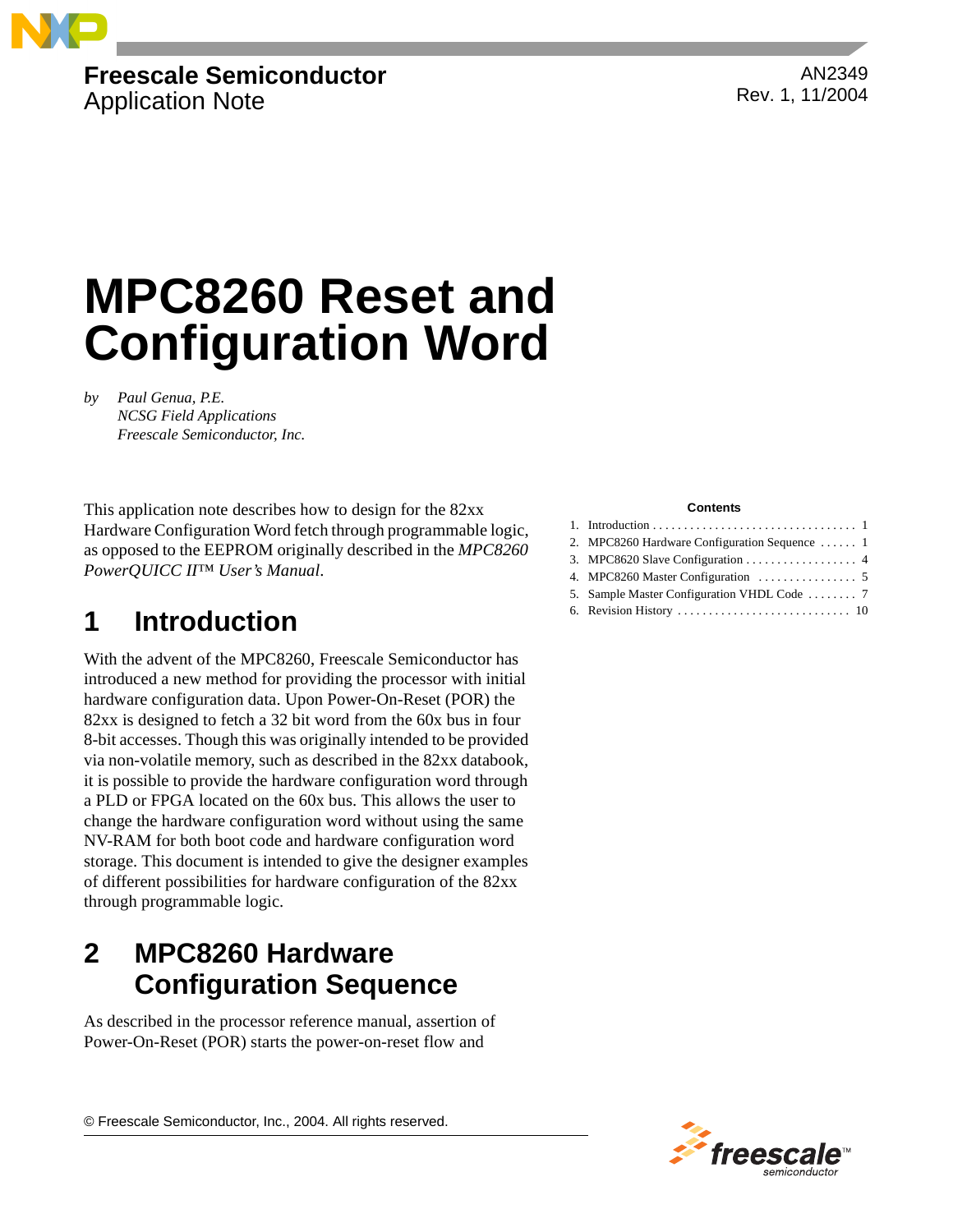

### **Freescale Semiconductor** Application Note

AN2349 Rev. 1, 11/2004

# **MPC8260 Reset and Configuration Word**

*by Paul Genua, P.E. NCSG Field Applications Freescale Semiconductor, Inc.*

This application note describes how to design for the 82xx Hardware Configuration Word fetch through programmable logic, as opposed to the EEPROM originally described in the *MPC8260 PowerQUICC II™ User's Manual*.

## <span id="page-0-0"></span>**1 Introduction**

With the advent of the MPC8260, Freescale Semiconductor has introduced a new method for providing the processor with initial hardware configuration data. Upon Power-On-Reset (POR) the 82xx is designed to fetch a 32 bit word from the 60x bus in four 8-bit accesses. Though this was originally intended to be provided via non-volatile memory, such as described in the 82xx databook, it is possible to provide the hardware configuration word through a PLD or FPGA located on the 60x bus. This allows the user to change the hardware configuration word without using the same NV-RAM for both boot code and hardware configuration word storage. This document is intended to give the designer examples of different possibilities for hardware configuration of the 82xx through programmable logic.

## <span id="page-0-1"></span>**2 MPC8260 Hardware Configuration Sequence**

As described in the processor reference manual, assertion of Power-On-Reset (POR) starts the power-on-reset flow and

### **Contents**

| 2. MPC8260 Hardware Configuration Sequence  1 |
|-----------------------------------------------|
| 3. MPC8620 Slave Configuration 4              |
|                                               |
|                                               |
|                                               |



© Freescale Semiconductor, Inc., 2004. All rights reserved.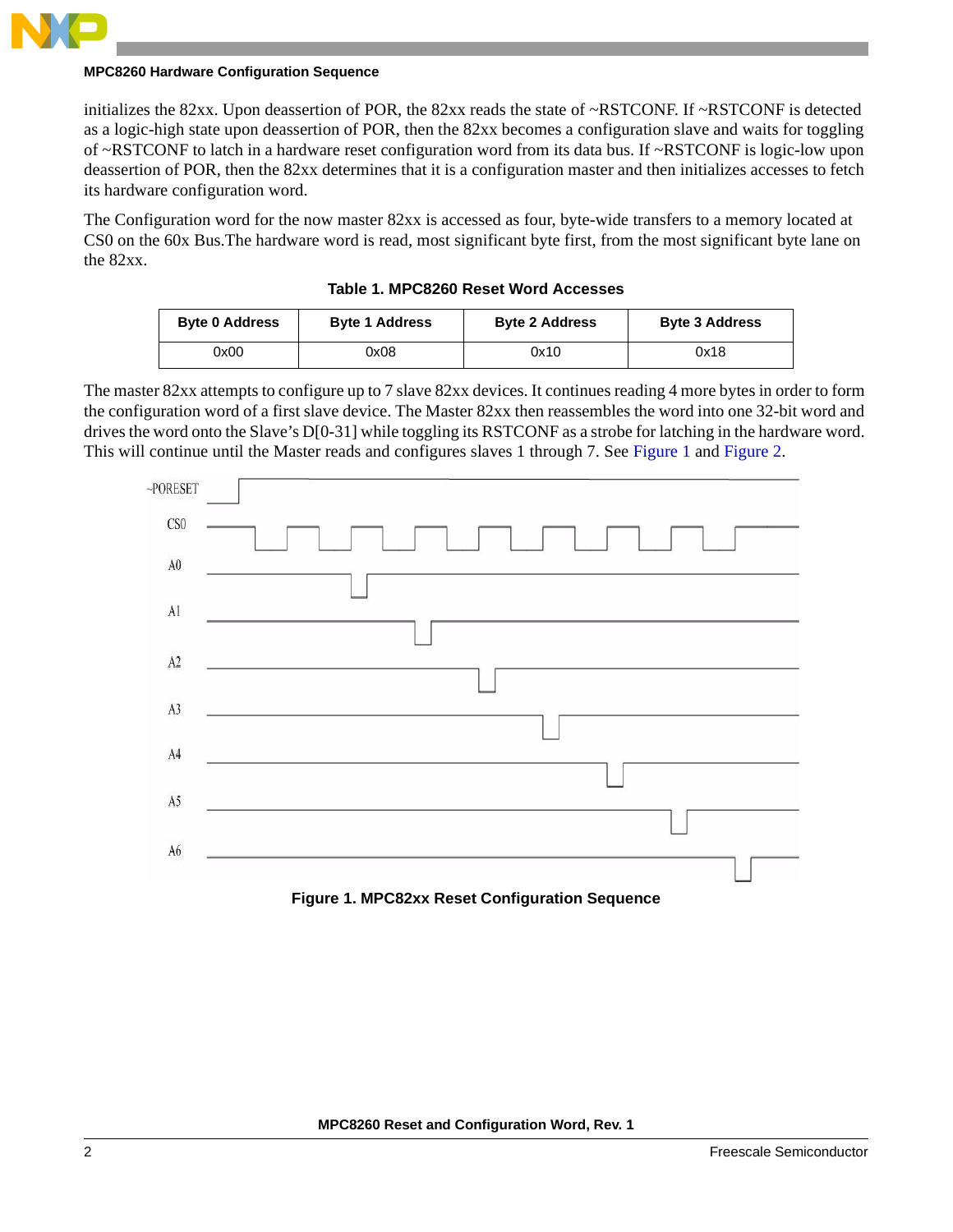

### **MPC8260 Hardware Configuration Sequence**

initializes the 82xx. Upon deassertion of POR, the 82xx reads the state of ~RSTCONF. If ~RSTCONF is detected as a logic-high state upon deassertion of POR, then the 82xx becomes a configuration slave and waits for toggling of ~RSTCONF to latch in a hardware reset configuration word from its data bus. If ~RSTCONF is logic-low upon deassertion of POR, then the 82xx determines that it is a configuration master and then initializes accesses to fetch its hardware configuration word.

The Configuration word for the now master 82xx is accessed as four, byte-wide transfers to a memory located at CS0 on the 60x Bus.The hardware word is read, most significant byte first, from the most significant byte lane on the 82xx.

| <b>Byte 0 Address</b> | <b>Byte 1 Address</b> | <b>Byte 2 Address</b> | <b>Byte 3 Address</b> |
|-----------------------|-----------------------|-----------------------|-----------------------|
| 0x00                  | 0x08                  | 0x10                  | 0x18                  |

**Table 1. MPC8260 Reset Word Accesses**

The master 82xx attempts to configure up to 7 slave 82xx devices. It continues reading 4 more bytes in order to form the configuration word of a first slave device. The Master 82xx then reassembles the word into one 32-bit word and drives the word onto the Slave's D[0-31] while toggling its RSTCONF as a strobe for latching in the hardware word. This will continue until the Master reads and configures slaves 1 through 7. See [Figure](#page-1-0) 1 and [Figure](#page-2-0) 2.



<span id="page-1-0"></span>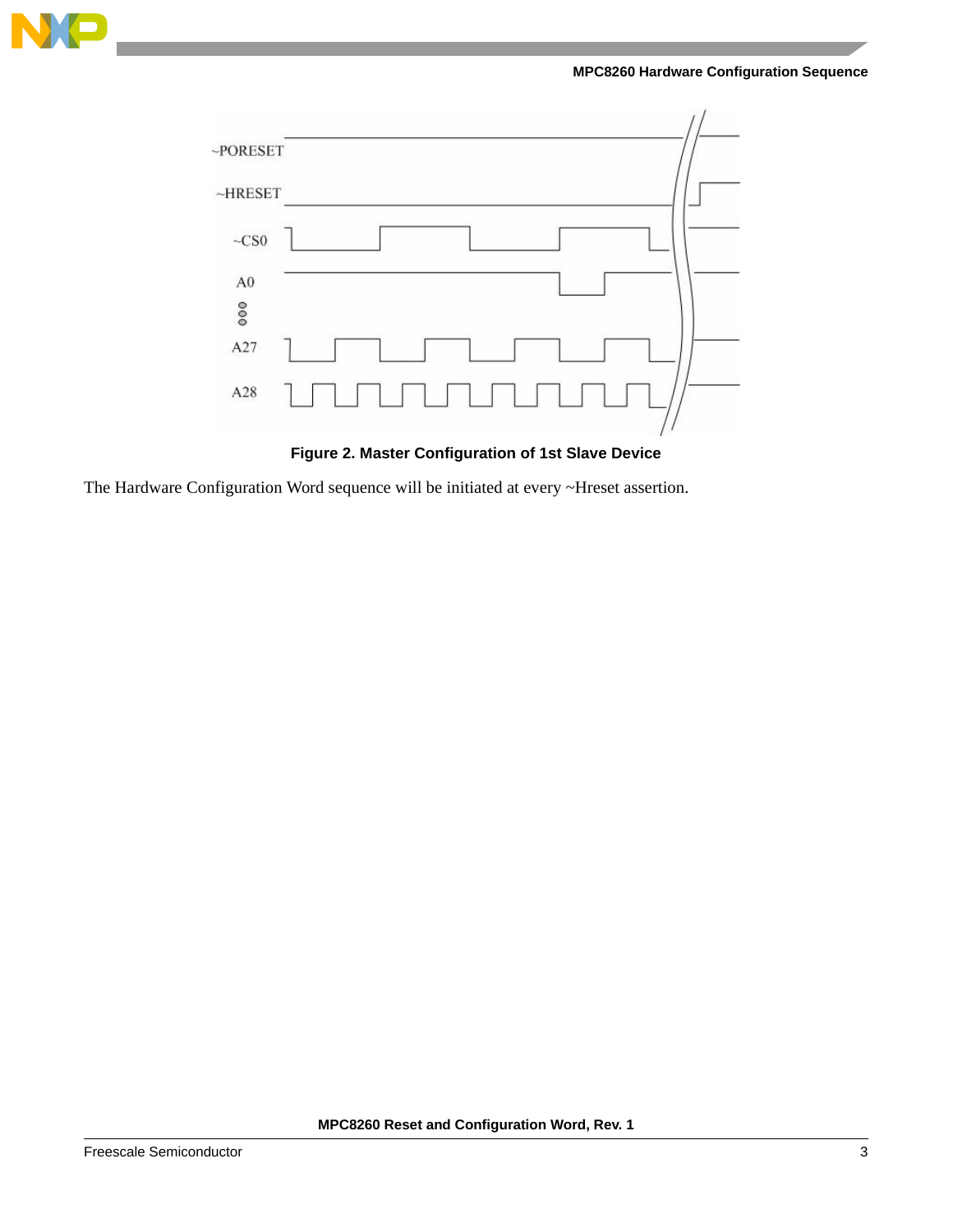

**MPC8260 Hardware Configuration Sequence**



**Figure 2. Master Configuration of 1st Slave Device**

<span id="page-2-0"></span>The Hardware Configuration Word sequence will be initiated at every ~Hreset assertion.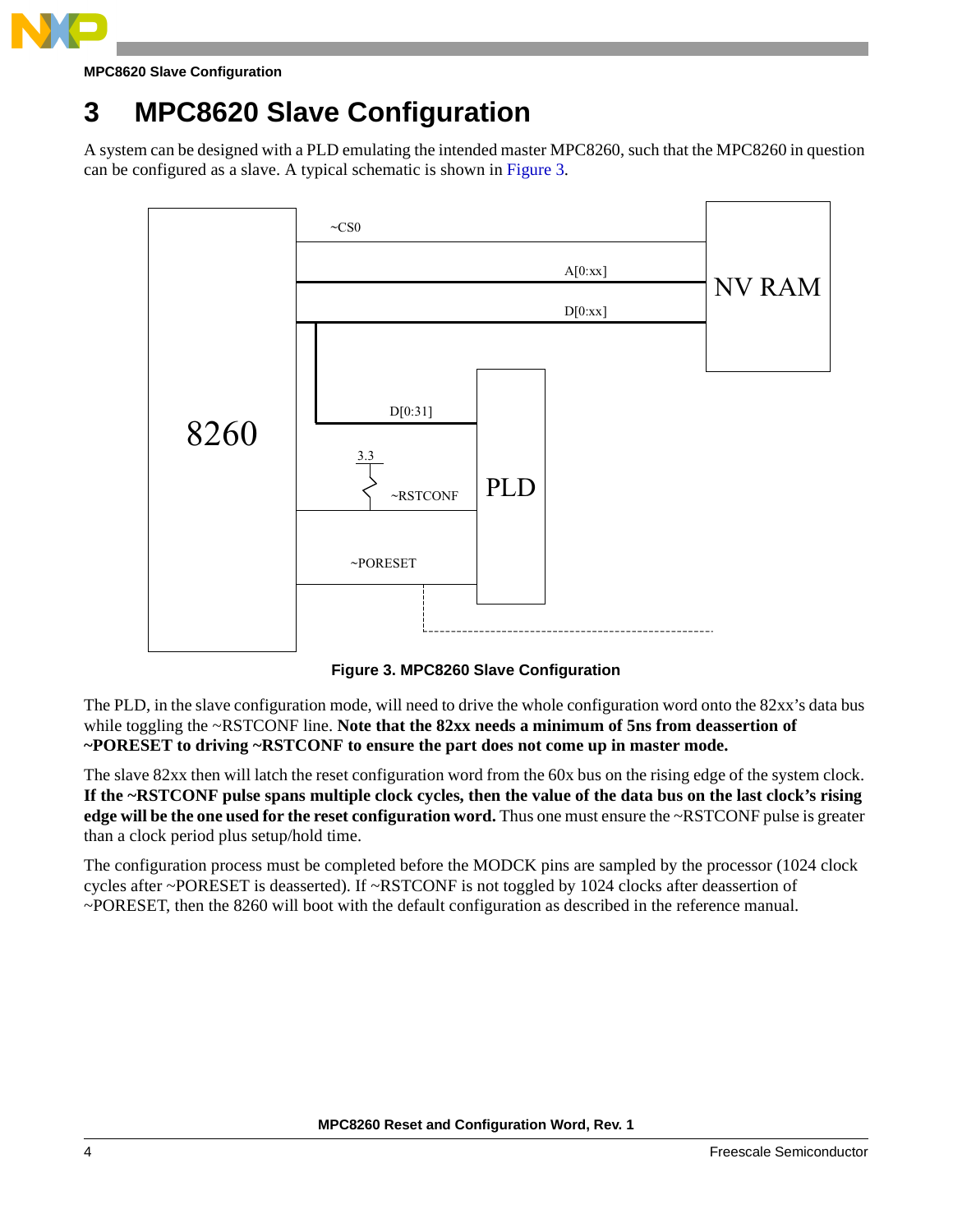

**MPC8620 Slave Configuration**

# <span id="page-3-0"></span>**3 MPC8620 Slave Configuration**

A system can be designed with a PLD emulating the intended master MPC8260, such that the MPC8260 in question can be configured as a slave. A typical schematic is shown in [Figure](#page-3-1) 3.



**Figure 3. MPC8260 Slave Configuration**

<span id="page-3-1"></span>The PLD, in the slave configuration mode, will need to drive the whole configuration word onto the 82xx's data bus while toggling the ~RSTCONF line. **Note that the 82xx needs a minimum of 5ns from deassertion of ~PORESET to driving ~RSTCONF to ensure the part does not come up in master mode.**

The slave 82xx then will latch the reset configuration word from the 60x bus on the rising edge of the system clock. **If the ~RSTCONF pulse spans multiple clock cycles, then the value of the data bus on the last clock's rising edge will be the one used for the reset configuration word.** Thus one must ensure the ~RSTCONF pulse is greater than a clock period plus setup/hold time.

The configuration process must be completed before the MODCK pins are sampled by the processor (1024 clock cycles after ~PORESET is deasserted). If ~RSTCONF is not toggled by 1024 clocks after deassertion of ~PORESET, then the 8260 will boot with the default configuration as described in the reference manual.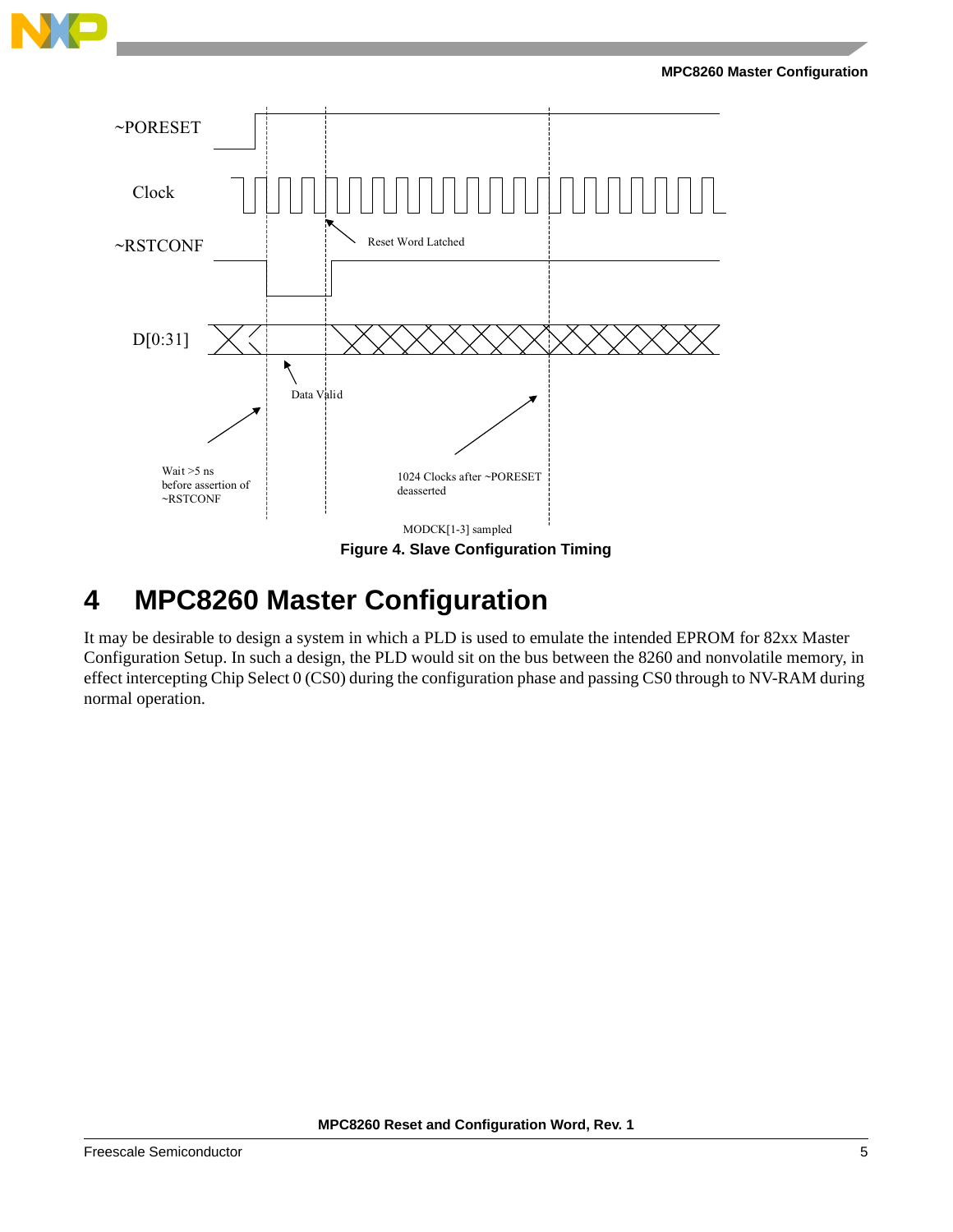

**MPC8260 Master Configuration**



### <span id="page-4-0"></span>**4 MPC8260 Master Configuration**

It may be desirable to design a system in which a PLD is used to emulate the intended EPROM for 82xx Master Configuration Setup. In such a design, the PLD would sit on the bus between the 8260 and nonvolatile memory, in effect intercepting Chip Select 0 (CS0) during the configuration phase and passing CS0 through to NV-RAM during normal operation.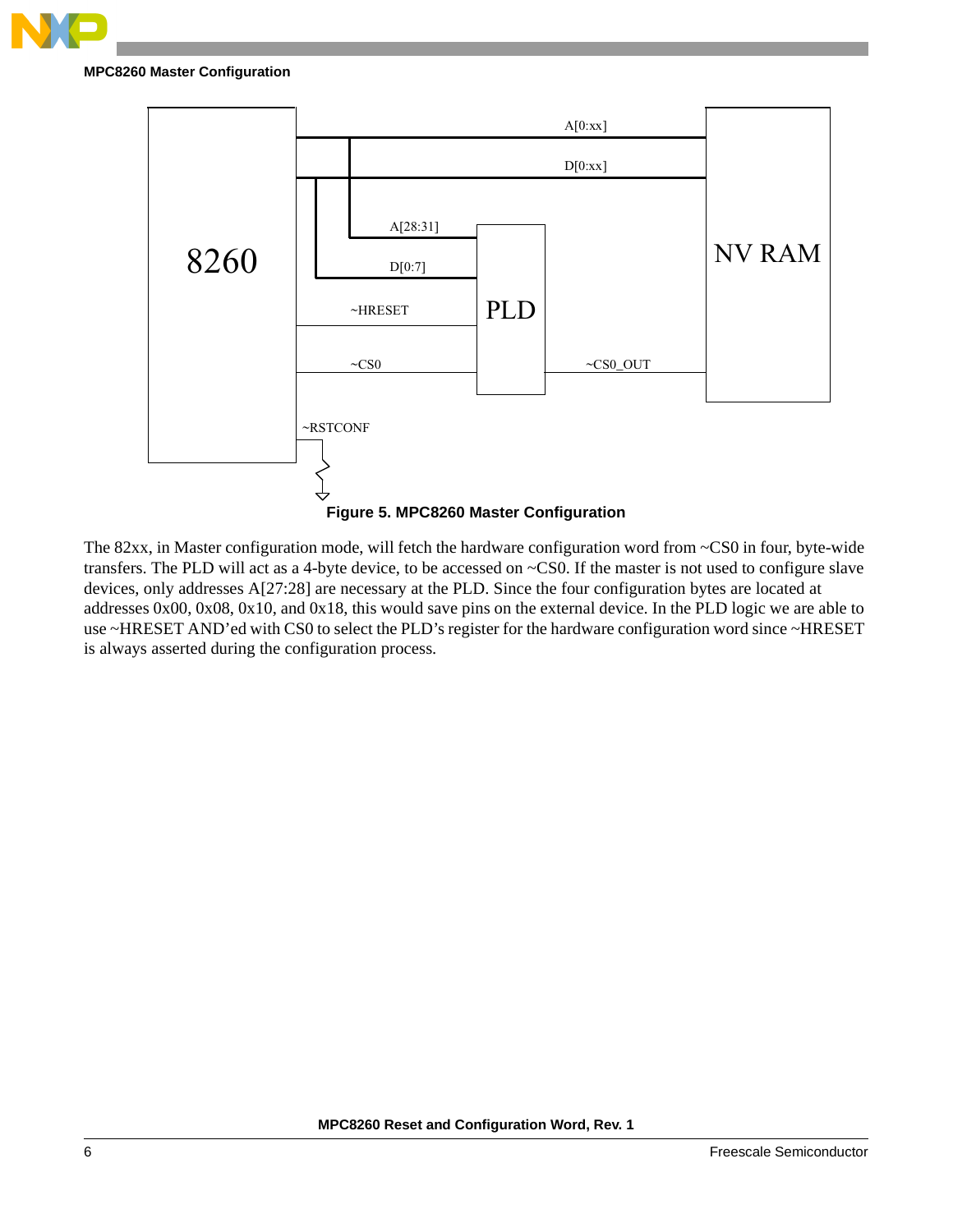

### **MPC8260 Master Configuration**



<span id="page-5-0"></span>The 82xx, in Master configuration mode, will fetch the hardware configuration word from ~CS0 in four, byte-wide transfers. The PLD will act as a 4-byte device, to be accessed on ~CS0. If the master is not used to configure slave devices, only addresses A[27:28] are necessary at the PLD. Since the four configuration bytes are located at addresses 0x00, 0x08, 0x10, and 0x18, this would save pins on the external device. In the PLD logic we are able to use ~HRESET AND'ed with CS0 to select the PLD's register for the hardware configuration word since ~HRESET is always asserted during the configuration process.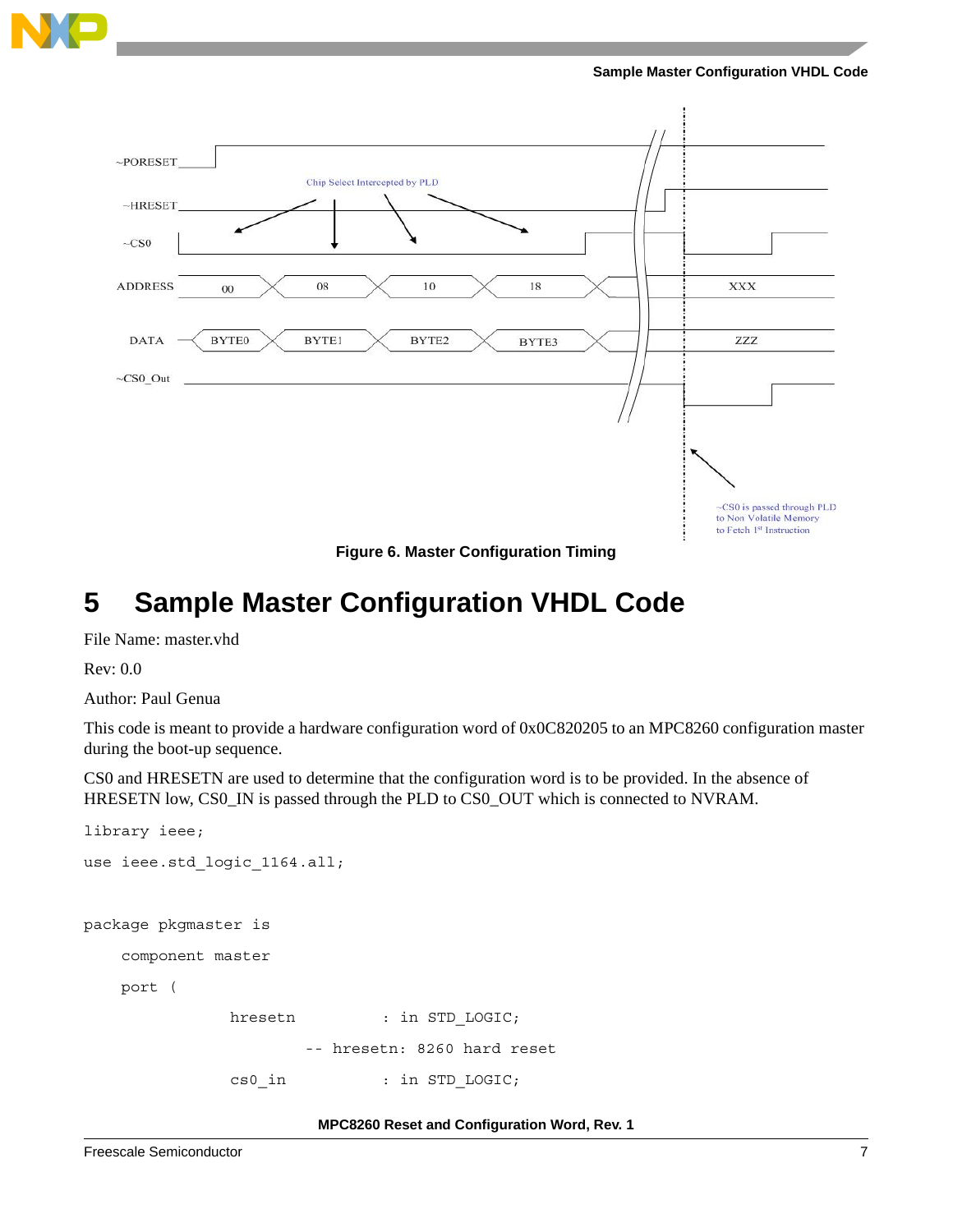

**Sample Master Configuration VHDL Code**



**Figure 6. Master Configuration Timing**

### <span id="page-6-1"></span><span id="page-6-0"></span>**5 Sample Master Configuration VHDL Code**

File Name: master.vhd

Rev: 0.0

Author: Paul Genua

This code is meant to provide a hardware configuration word of 0x0C820205 to an MPC8260 configuration master during the boot-up sequence.

CS0 and HRESETN are used to determine that the configuration word is to be provided. In the absence of HRESETN low, CS0\_IN is passed through the PLD to CS0\_OUT which is connected to NVRAM.

```
library ieee;
use ieee.std logic 1164.all;
package pkgmaster is
    component master
    port (
              hresetn : in STD LOGIC;
                      -- hresetn: 8260 hard reset
              cs0 in : in STD LOGIC;
```
**MPC8260 Reset and Configuration Word, Rev. 1**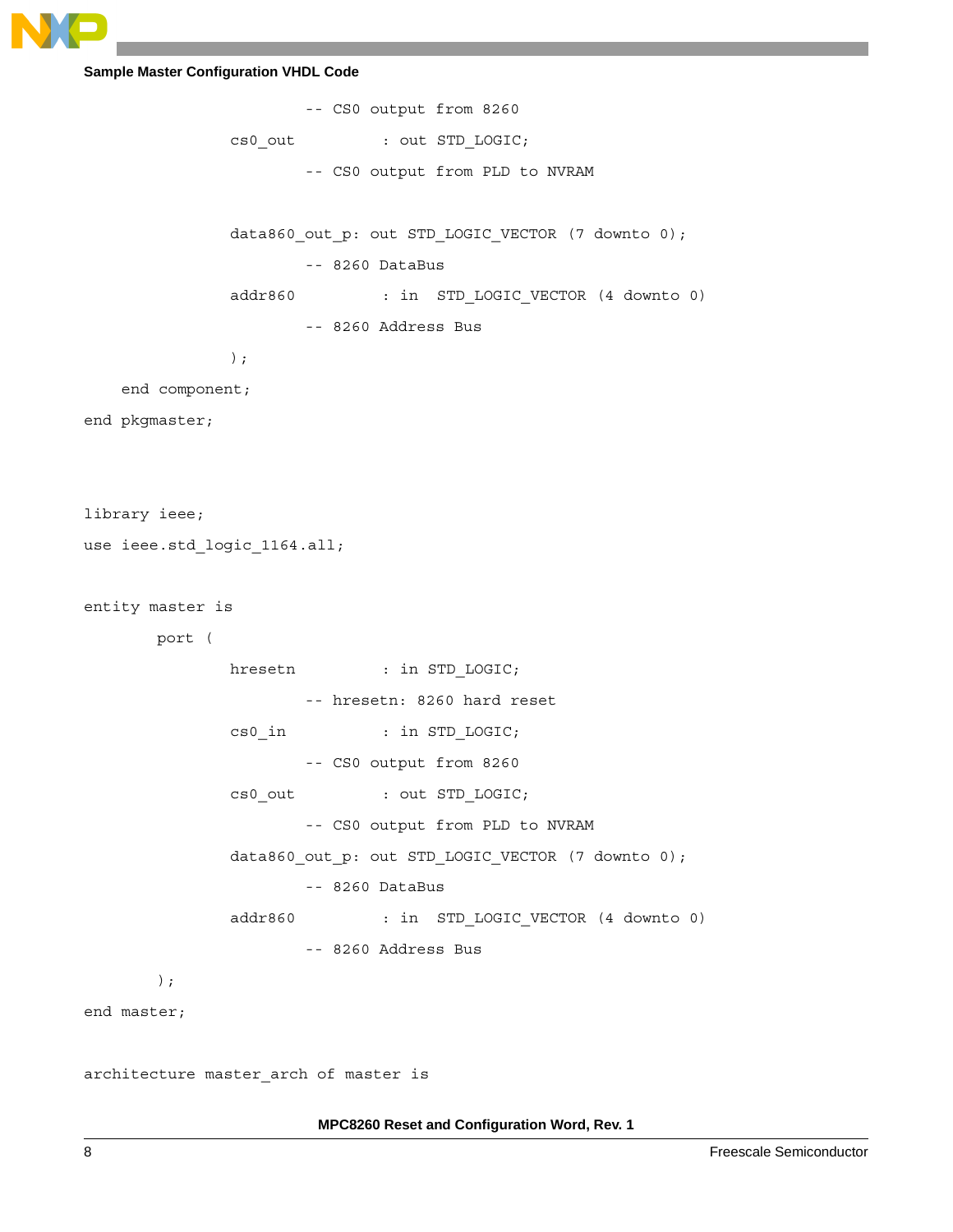

```
Sample Master Configuration VHDL Code
```

```
-- CS0 output from 8260
              cs0 out : out STD LOGIC;
                      -- CS0 output from PLD to NVRAM
              data860_out_p: out STD_LOGIC_VECTOR (7 downto 0);
                      -- 8260 DataBus
              addr860 : in STD_LOGIC_VECTOR (4 downto 0)
                      -- 8260 Address Bus
              );
    end component;
end pkgmaster;
library ieee;
use ieee.std logic 1164.all;
entity master is
       port (
              hresetn : in STD_LOGIC;
                      -- hresetn: 8260 hard reset
              cs0 in : in STD LOGIC;
                      -- CS0 output from 8260
              cs0 out : out STD LOGIC;
                      -- CS0 output from PLD to NVRAM
              data860 out p: out STD LOGIC VECTOR (7 downto 0);
                      -- 8260 DataBus
              addr860 : in STD LOGIC VECTOR (4 downto 0)
                      -- 8260 Address Bus
       );
end master;
```

```
architecture master arch of master is
```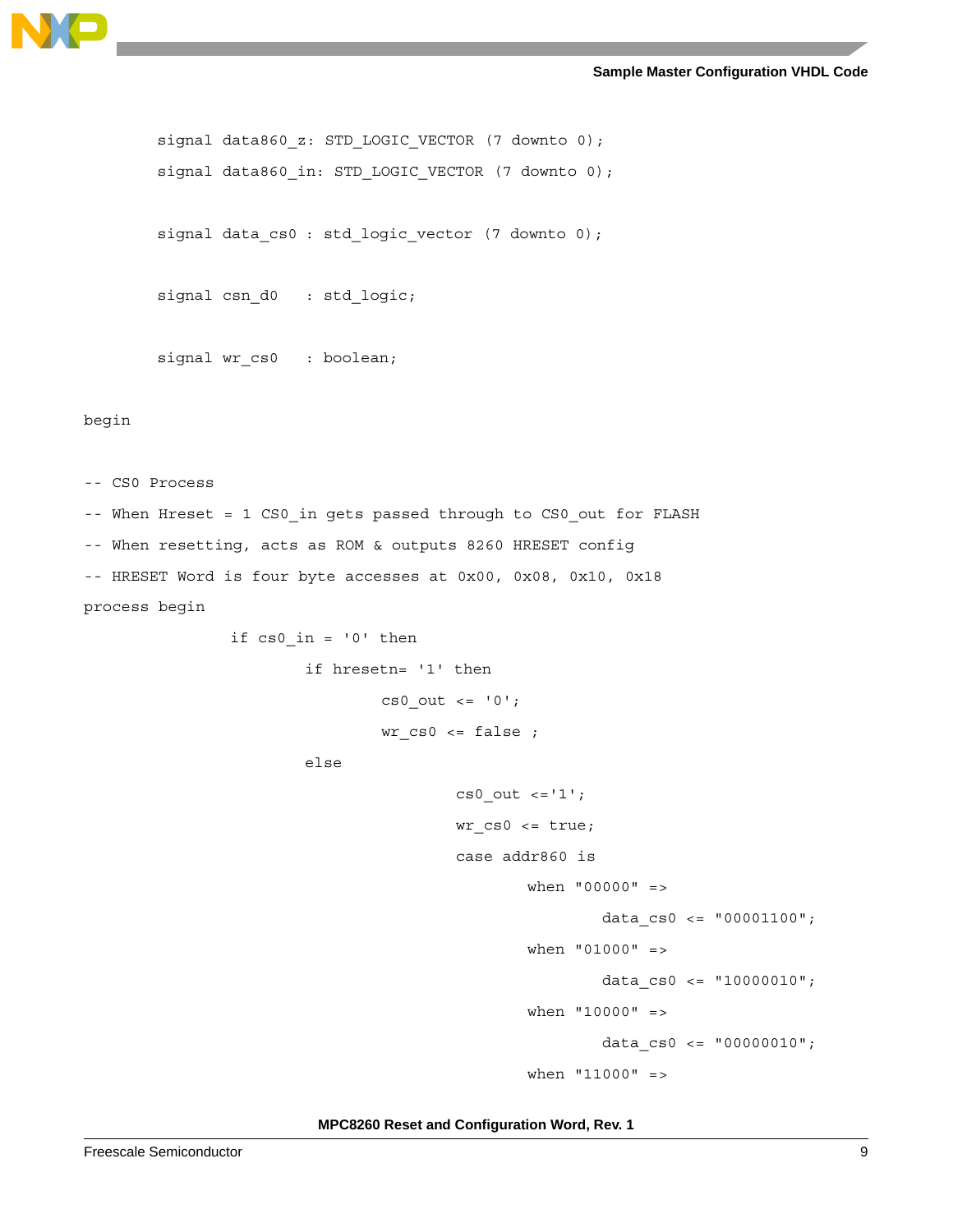

```
signal data860 z: STD LOGIC VECTOR (7 downto 0);
        signal data860_in: STD_LOGIC_VECTOR (7 downto 0);
        signal data cs0 : std logic vector (7 downto 0);
        signal csn_d0 : std_logic;
        signal wr_cs0 : boolean;
begin 
-- CS0 Process
-- When Hreset = 1 CS0 in gets passed through to CS0 out for FLASH
-- When resetting, acts as ROM & outputs 8260 HRESET config
-- HRESET Word is four byte accesses at 0x00, 0x08, 0x10, 0x18
process begin
                if cs0_in = '0' then
                        if hresetn= '1' then
                                 cs0 out \leq '0';
                                 wr cs0 \leq false;
                        else 
                                         cs0 out \leftarrow 1';
                                         wr cs0 \leq true;
                                         case addr860 is
                                                 when "00000" =>
                                                         data_cs0 <= "00001100";
                                                 when "01000" =>
                                                         data cs0 \leq "10000010";
                                                 when "10000" =>
                                                         data_cs0 <= "00000010";
```
when "11000" =>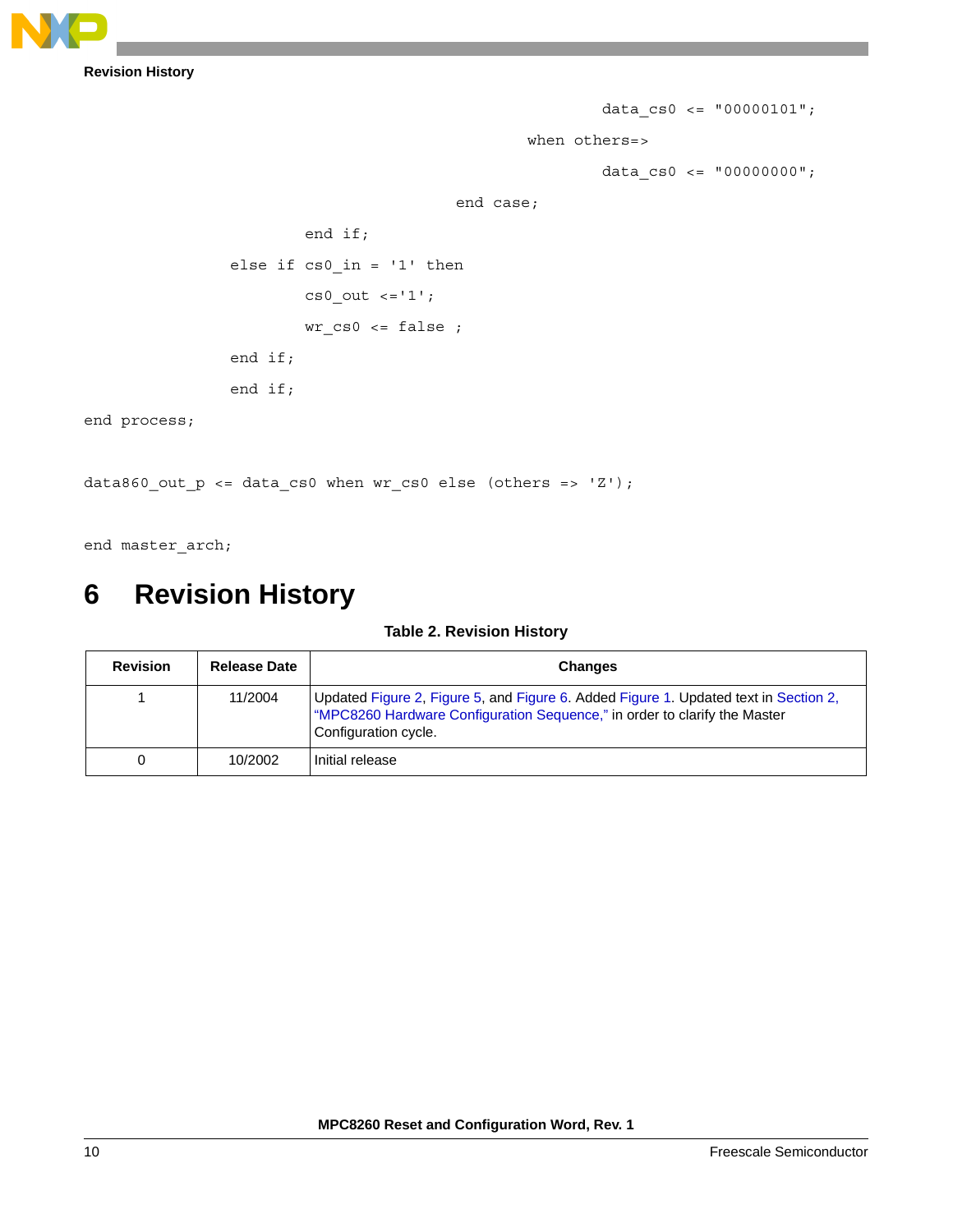

```
Revision History
```

```
data_cs0 <= "00000101";
```
when others=>

data\_cs0 <= "00000000";

end case;

```
end if;
else if cs0_in = '1' then
        cs0_out <='1';
        wr cs0 \leq false ;
end if;
end if;
```
end process;

data860\_out\_p <= data\_cs0 when  $wr_c$ cs0 else (others => 'Z');

end master\_arch;

### <span id="page-9-0"></span>**6 Revision History**

### **Table 2. Revision History**

| <b>Revision</b> | <b>Release Date</b> | <b>Changes</b>                                                                                                                                                                            |
|-----------------|---------------------|-------------------------------------------------------------------------------------------------------------------------------------------------------------------------------------------|
|                 | 11/2004             | Updated Figure 2, Figure 5, and Figure 6. Added Figure 1. Updated text in Section 2,<br>"MPC8260 Hardware Configuration Sequence," in order to clarify the Master<br>Configuration cycle. |
|                 | 10/2002             | Initial release                                                                                                                                                                           |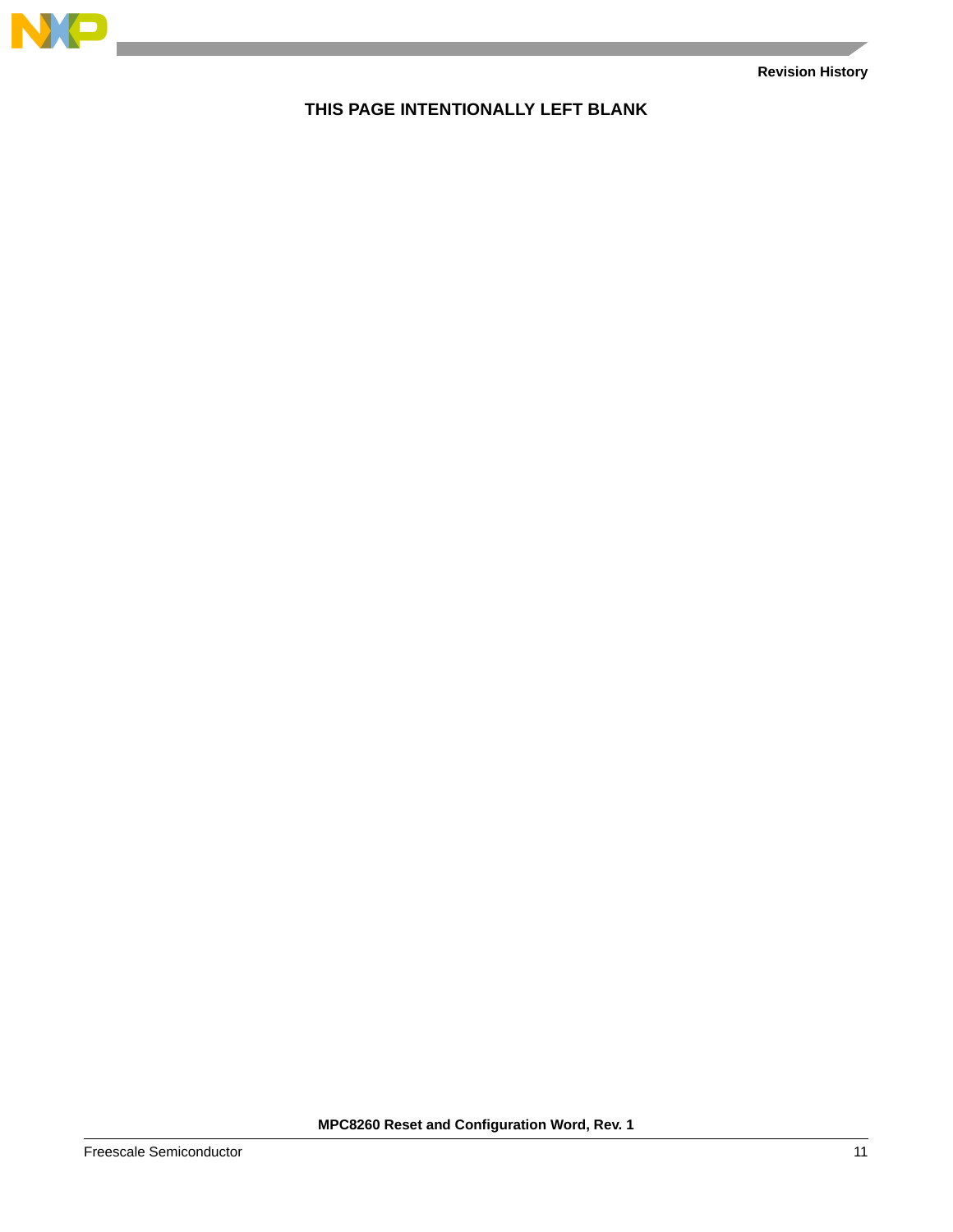

 $\overline{\phantom{a}}$ 

**Revision History**

### **THIS PAGE INTENTIONALLY LEFT BLANK**